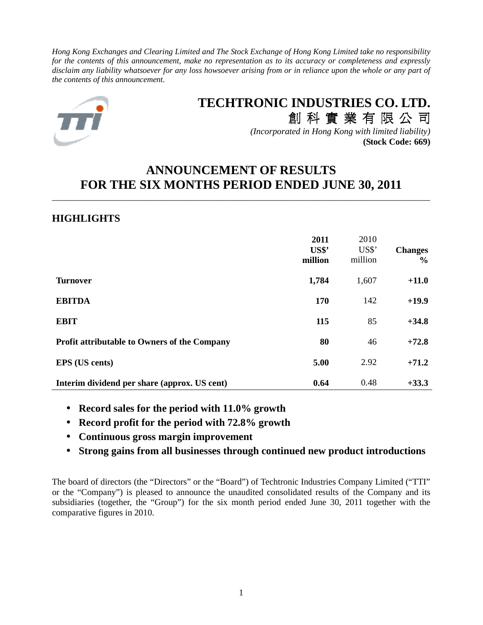*Hong Kong Exchanges and Clearing Limited and The Stock Exchange of Hong Kong Limited take no responsibility for the contents of this announcement, make no representation as to its accuracy or completeness and expressly disclaim any liability whatsoever for any loss howsoever arising from or in reliance upon the whole or any part of the contents of this announcement.* 



# **TECHTRONIC INDUSTRIES CO. LTD.** 創 科 實 業 有 限 公 司

*(Incorporated in Hong Kong with limited liability)* **(Stock Code: 669)**

## **ANNOUNCEMENT OF RESULTS FOR THE SIX MONTHS PERIOD ENDED JUNE 30, 2011**

\_\_\_\_\_\_\_\_\_\_\_\_\_\_\_\_\_\_\_\_\_\_\_\_\_\_\_\_\_\_\_\_\_\_\_\_\_\_\_\_\_\_\_\_\_\_\_\_\_\_\_\_\_\_\_\_\_\_\_\_\_\_\_\_\_\_\_\_\_\_\_\_\_\_\_\_\_\_\_\_\_\_\_\_\_

## **HIGHLIGHTS**

|                                                     | 2011<br>US\$'<br>million | 2010<br>US\$'<br>million | <b>Changes</b><br>$\frac{0}{0}$ |
|-----------------------------------------------------|--------------------------|--------------------------|---------------------------------|
| <b>Turnover</b>                                     | 1,784                    | 1,607                    | $+11.0$                         |
| <b>EBITDA</b>                                       | 170                      | 142                      | $+19.9$                         |
| <b>EBIT</b>                                         | 115                      | 85                       | $+34.8$                         |
| <b>Profit attributable to Owners of the Company</b> | 80                       | 46                       | $+72.8$                         |
| <b>EPS</b> (US cents)                               | 5.00                     | 2.92                     | $+71.2$                         |
| Interim dividend per share (approx. US cent)        | 0.64                     | 0.48                     | $+33.3$                         |

- **Record sales for the period with 11.0% growth**
- **Record profit for the period with 72.8% growth**
- **Continuous gross margin improvement**
- **Strong gains from all businesses through continued new product introductions**

The board of directors (the "Directors" or the "Board") of Techtronic Industries Company Limited ("TTI" or the "Company") is pleased to announce the unaudited consolidated results of the Company and its subsidiaries (together, the "Group") for the six month period ended June 30, 2011 together with the comparative figures in 2010.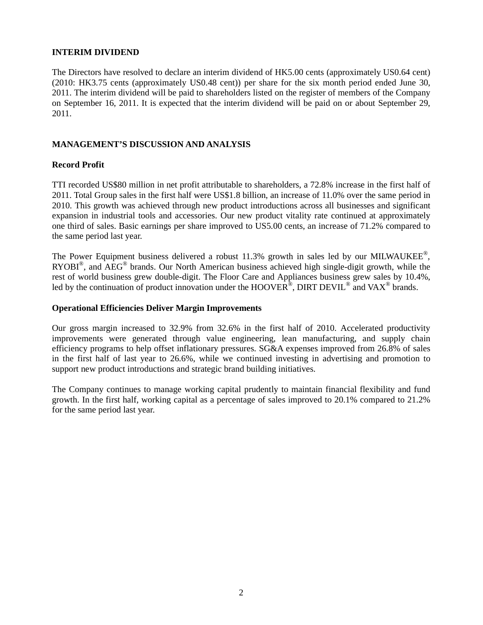#### **INTERIM DIVIDEND**

The Directors have resolved to declare an interim dividend of HK5.00 cents (approximately US0.64 cent) (2010: HK3.75 cents (approximately US0.48 cent)) per share for the six month period ended June 30, 2011. The interim dividend will be paid to shareholders listed on the register of members of the Company on September 16, 2011. It is expected that the interim dividend will be paid on or about September 29, 2011.

#### **MANAGEMENT'S DISCUSSION AND ANALYSIS**

#### **Record Profit**

TTI recorded US\$80 million in net profit attributable to shareholders, a 72.8% increase in the first half of 2011. Total Group sales in the first half were US\$1.8 billion, an increase of 11.0% over the same period in 2010. This growth was achieved through new product introductions across all businesses and significant expansion in industrial tools and accessories. Our new product vitality rate continued at approximately one third of sales. Basic earnings per share improved to US5.00 cents, an increase of 71.2% compared to the same period last year.

The Power Equipment business delivered a robust  $11.3\%$  growth in sales led by our MILWAUKEE<sup>®</sup>,  $RYOBI<sup>®</sup>$ , and  $\widehat{AEG}$ <sup>®</sup> brands. Our North American business achieved high single-digit growth, while the rest of world business grew double-digit. The Floor Care and Appliances business grew sales by 10.4%, led by the continuation of product innovation under the HOOVER<sup>®</sup>, DIRT DEVIL<sup>®</sup> and VAX<sup>®</sup> brands.

#### **Operational Efficiencies Deliver Margin Improvements**

Our gross margin increased to 32.9% from 32.6% in the first half of 2010. Accelerated productivity improvements were generated through value engineering, lean manufacturing, and supply chain efficiency programs to help offset inflationary pressures. SG&A expenses improved from 26.8% of sales in the first half of last year to 26.6%, while we continued investing in advertising and promotion to support new product introductions and strategic brand building initiatives.

The Company continues to manage working capital prudently to maintain financial flexibility and fund growth. In the first half, working capital as a percentage of sales improved to 20.1% compared to 21.2% for the same period last year.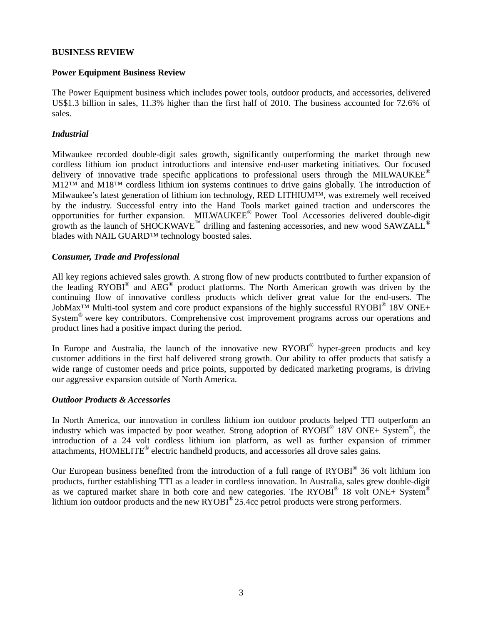#### **BUSINESS REVIEW**

#### **Power Equipment Business Review**

The Power Equipment business which includes power tools, outdoor products, and accessories, delivered US\$1.3 billion in sales, 11.3% higher than the first half of 2010. The business accounted for 72.6% of sales.

#### *Industrial*

Milwaukee recorded double-digit sales growth, significantly outperforming the market through new cordless lithium ion product introductions and intensive end-user marketing initiatives. Our focused delivery of innovative trade specific applications to professional users through the MILWAUKEE® M12™ and M18™ cordless lithium ion systems continues to drive gains globally. The introduction of Milwaukee's latest generation of lithium ion technology, RED LITHIUM™, was extremely well received by the industry. Successful entry into the Hand Tools market gained traction and underscores the opportunities for further expansion. MILWAUKEE® Power Tool Accessories delivered double-digit growth as the launch of SHOCKWAVE<sup>™</sup> drilling and fastening accessories, and new wood SAWZALL<sup>®</sup> blades with NAIL GUARD™ technology boosted sales.

#### *Consumer, Trade and Professional*

All key regions achieved sales growth. A strong flow of new products contributed to further expansion of the leading RYOBI<sup>®</sup> and AEG<sup>®</sup> product platforms. The North American growth was driven by the continuing flow of innovative cordless products which deliver great value for the end-users. The JobMax<sup>TM</sup> Multi-tool system and core product expansions of the highly successful RYOBI<sup>®</sup> 18V ONE+ System® were key contributors. Comprehensive cost improvement programs across our operations and product lines had a positive impact during the period.

In Europe and Australia, the launch of the innovative new RYOBI<sup>®</sup> hyper-green products and key customer additions in the first half delivered strong growth. Our ability to offer products that satisfy a wide range of customer needs and price points, supported by dedicated marketing programs, is driving our aggressive expansion outside of North America.

#### *Outdoor Products & Accessories*

In North America, our innovation in cordless lithium ion outdoor products helped TTI outperform an industry which was impacted by poor weather. Strong adoption of  $\text{RYOBI}^{\text{\textregistered}}$  18V ONE+ System<sup>®</sup>, the introduction of a 24 volt cordless lithium ion platform, as well as further expansion of trimmer attachments, HOMELITE® electric handheld products, and accessories all drove sales gains.

Our European business benefited from the introduction of a full range of  $RYOBI^{\circledast}$  36 volt lithium ion products, further establishing TTI as a leader in cordless innovation. In Australia, sales grew double-digit as we captured market share in both core and new categories. The RYOBI<sup>®</sup> 18 volt ONE+ System<sup>®</sup> lithium ion outdoor products and the new RYOBI<sup>®</sup> 25.4cc petrol products were strong performers.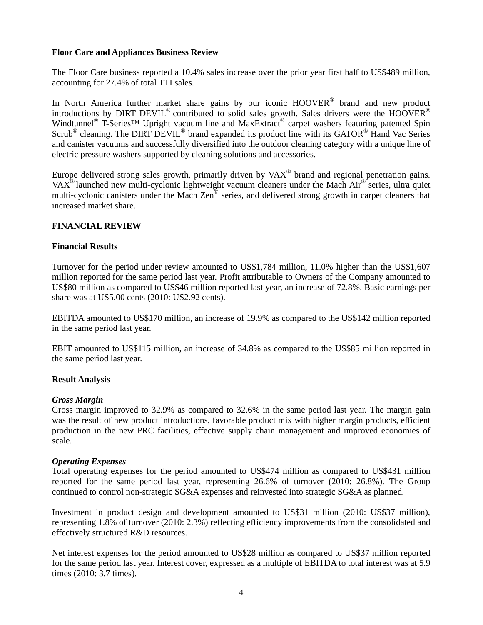#### **Floor Care and Appliances Business Review**

The Floor Care business reported a 10.4% sales increase over the prior year first half to US\$489 million, accounting for 27.4% of total TTI sales.

In North America further market share gains by our iconic HOOVER<sup>®</sup> brand and new product introductions by DIRT DEVIL<sup>®</sup> contributed to solid sales growth. Sales drivers were the HOOVER<sup>®</sup> Windtunnel<sup>®</sup> T-Series<sup>™</sup> Upright vacuum line and MaxExtract<sup>®</sup> carpet washers featuring patented Spin Scrub<sup>®</sup> cleaning. The DIRT  $\overline{DEVIL}^{\otimes}$  brand expanded its product line with its GATOR<sup>®</sup> Hand Vac Series and canister vacuums and successfully diversified into the outdoor cleaning category with a unique line of electric pressure washers supported by cleaning solutions and accessories.

Europe delivered strong sales growth, primarily driven by  $VAX^{\circ}$  brand and regional penetration gains. VAX<sup>®</sup> launched new multi-cyclonic lightweight vacuum cleaners under the Mach Air® series, ultra quiet multi-cyclonic canisters under the Mach Zen® series, and delivered strong growth in carpet cleaners that increased market share.

#### **FINANCIAL REVIEW**

#### **Financial Results**

Turnover for the period under review amounted to US\$1,784 million, 11.0% higher than the US\$1,607 million reported for the same period last year. Profit attributable to Owners of the Company amounted to US\$80 million as compared to US\$46 million reported last year, an increase of 72.8%. Basic earnings per share was at US5.00 cents (2010: US2.92 cents).

EBITDA amounted to US\$170 million, an increase of 19.9% as compared to the US\$142 million reported in the same period last year.

EBIT amounted to US\$115 million, an increase of 34.8% as compared to the US\$85 million reported in the same period last year.

#### **Result Analysis**

#### *Gross Margin*

Gross margin improved to 32.9% as compared to 32.6% in the same period last year. The margin gain was the result of new product introductions, favorable product mix with higher margin products, efficient production in the new PRC facilities, effective supply chain management and improved economies of scale.

#### *Operating Expenses*

Total operating expenses for the period amounted to US\$474 million as compared to US\$431 million reported for the same period last year, representing 26.6% of turnover (2010: 26.8%). The Group continued to control non-strategic SG&A expenses and reinvested into strategic SG&A as planned.

Investment in product design and development amounted to US\$31 million (2010: US\$37 million), representing 1.8% of turnover (2010: 2.3%) reflecting efficiency improvements from the consolidated and effectively structured R&D resources.

Net interest expenses for the period amounted to US\$28 million as compared to US\$37 million reported for the same period last year. Interest cover, expressed as a multiple of EBITDA to total interest was at 5.9 times (2010: 3.7 times).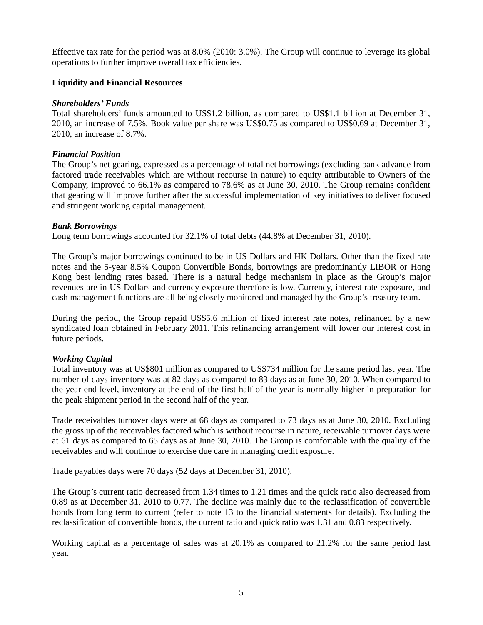Effective tax rate for the period was at 8.0% (2010: 3.0%). The Group will continue to leverage its global operations to further improve overall tax efficiencies.

#### **Liquidity and Financial Resources**

#### *Shareholders' Funds*

Total shareholders' funds amounted to US\$1.2 billion, as compared to US\$1.1 billion at December 31, 2010, an increase of 7.5%. Book value per share was US\$0.75 as compared to US\$0.69 at December 31, 2010, an increase of 8.7%.

#### *Financial Position*

The Group's net gearing, expressed as a percentage of total net borrowings (excluding bank advance from factored trade receivables which are without recourse in nature) to equity attributable to Owners of the Company, improved to 66.1% as compared to 78.6% as at June 30, 2010. The Group remains confident that gearing will improve further after the successful implementation of key initiatives to deliver focused and stringent working capital management.

#### *Bank Borrowings*

Long term borrowings accounted for 32.1% of total debts (44.8% at December 31, 2010).

The Group's major borrowings continued to be in US Dollars and HK Dollars. Other than the fixed rate notes and the 5-year 8.5% Coupon Convertible Bonds, borrowings are predominantly LIBOR or Hong Kong best lending rates based. There is a natural hedge mechanism in place as the Group's major revenues are in US Dollars and currency exposure therefore is low. Currency, interest rate exposure, and cash management functions are all being closely monitored and managed by the Group's treasury team.

During the period, the Group repaid US\$5.6 million of fixed interest rate notes, refinanced by a new syndicated loan obtained in February 2011. This refinancing arrangement will lower our interest cost in future periods.

#### *Working Capital*

Total inventory was at US\$801 million as compared to US\$734 million for the same period last year. The number of days inventory was at 82 days as compared to 83 days as at June 30, 2010. When compared to the year end level, inventory at the end of the first half of the year is normally higher in preparation for the peak shipment period in the second half of the year.

Trade receivables turnover days were at 68 days as compared to 73 days as at June 30, 2010. Excluding the gross up of the receivables factored which is without recourse in nature, receivable turnover days were at 61 days as compared to 65 days as at June 30, 2010. The Group is comfortable with the quality of the receivables and will continue to exercise due care in managing credit exposure.

Trade payables days were 70 days (52 days at December 31, 2010).

The Group's current ratio decreased from 1.34 times to 1.21 times and the quick ratio also decreased from 0.89 as at December 31, 2010 to 0.77. The decline was mainly due to the reclassification of convertible bonds from long term to current (refer to note 13 to the financial statements for details). Excluding the reclassification of convertible bonds, the current ratio and quick ratio was 1.31 and 0.83 respectively.

Working capital as a percentage of sales was at 20.1% as compared to 21.2% for the same period last year.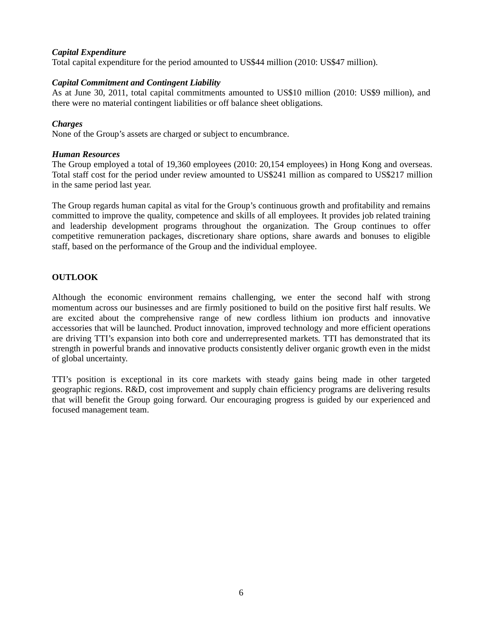#### *Capital Expenditure*

Total capital expenditure for the period amounted to US\$44 million (2010: US\$47 million).

#### *Capital Commitment and Contingent Liability*

As at June 30, 2011, total capital commitments amounted to US\$10 million (2010: US\$9 million), and there were no material contingent liabilities or off balance sheet obligations.

#### *Charges*

None of the Group's assets are charged or subject to encumbrance.

#### *Human Resources*

The Group employed a total of 19,360 employees (2010: 20,154 employees) in Hong Kong and overseas. Total staff cost for the period under review amounted to US\$241 million as compared to US\$217 million in the same period last year.

The Group regards human capital as vital for the Group's continuous growth and profitability and remains committed to improve the quality, competence and skills of all employees. It provides job related training and leadership development programs throughout the organization. The Group continues to offer competitive remuneration packages, discretionary share options, share awards and bonuses to eligible staff, based on the performance of the Group and the individual employee.

#### **OUTLOOK**

Although the economic environment remains challenging, we enter the second half with strong momentum across our businesses and are firmly positioned to build on the positive first half results. We are excited about the comprehensive range of new cordless lithium ion products and innovative accessories that will be launched. Product innovation, improved technology and more efficient operations are driving TTI's expansion into both core and underrepresented markets. TTI has demonstrated that its strength in powerful brands and innovative products consistently deliver organic growth even in the midst of global uncertainty.

TTI's position is exceptional in its core markets with steady gains being made in other targeted geographic regions. R&D, cost improvement and supply chain efficiency programs are delivering results that will benefit the Group going forward. Our encouraging progress is guided by our experienced and focused management team.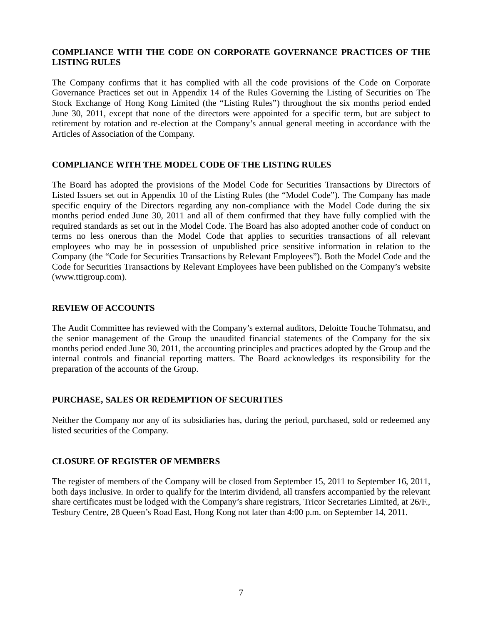#### **COMPLIANCE WITH THE CODE ON CORPORATE GOVERNANCE PRACTICES OF THE LISTING RULES**

The Company confirms that it has complied with all the code provisions of the Code on Corporate Governance Practices set out in Appendix 14 of the Rules Governing the Listing of Securities on The Stock Exchange of Hong Kong Limited (the "Listing Rules") throughout the six months period ended June 30, 2011, except that none of the directors were appointed for a specific term, but are subject to retirement by rotation and re-election at the Company's annual general meeting in accordance with the Articles of Association of the Company.

#### **COMPLIANCE WITH THE MODEL CODE OF THE LISTING RULES**

The Board has adopted the provisions of the Model Code for Securities Transactions by Directors of Listed Issuers set out in Appendix 10 of the Listing Rules (the "Model Code"). The Company has made specific enquiry of the Directors regarding any non-compliance with the Model Code during the six months period ended June 30, 2011 and all of them confirmed that they have fully complied with the required standards as set out in the Model Code. The Board has also adopted another code of conduct on terms no less onerous than the Model Code that applies to securities transactions of all relevant employees who may be in possession of unpublished price sensitive information in relation to the Company (the "Code for Securities Transactions by Relevant Employees"). Both the Model Code and the Code for Securities Transactions by Relevant Employees have been published on the Company's website (www.ttigroup.com).

#### **REVIEW OF ACCOUNTS**

The Audit Committee has reviewed with the Company's external auditors, Deloitte Touche Tohmatsu, and the senior management of the Group the unaudited financial statements of the Company for the six months period ended June 30, 2011, the accounting principles and practices adopted by the Group and the internal controls and financial reporting matters. The Board acknowledges its responsibility for the preparation of the accounts of the Group.

#### **PURCHASE, SALES OR REDEMPTION OF SECURITIES**

Neither the Company nor any of its subsidiaries has, during the period, purchased, sold or redeemed any listed securities of the Company.

#### **CLOSURE OF REGISTER OF MEMBERS**

The register of members of the Company will be closed from September 15, 2011 to September 16, 2011, both days inclusive. In order to qualify for the interim dividend, all transfers accompanied by the relevant share certificates must be lodged with the Company's share registrars, Tricor Secretaries Limited, at 26/F., Tesbury Centre, 28 Queen's Road East, Hong Kong not later than 4:00 p.m. on September 14, 2011.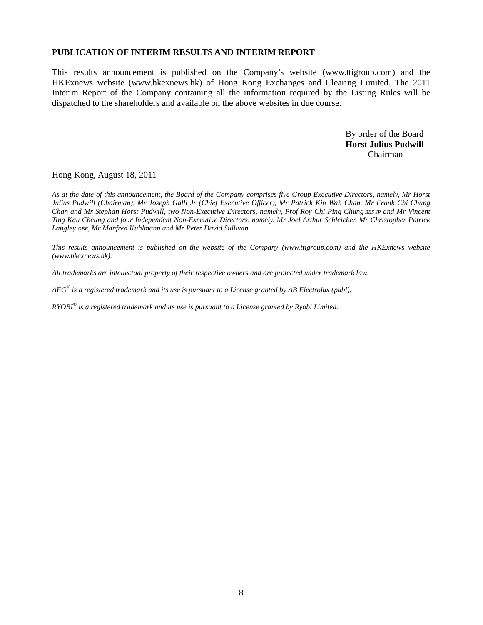#### **PUBLICATION OF INTERIM RESULTS AND INTERIM REPORT**

This results announcement is published on the Company's website (www.ttigroup.com) and the HKExnews website (www.hkexnews.hk) of Hong Kong Exchanges and Clearing Limited. The 2011 Interim Report of the Company containing all the information required by the Listing Rules will be dispatched to the shareholders and available on the above websites in due course.

> By order of the Board **Horst Julius Pudwill**  Chairman

Hong Kong, August 18, 2011

*As at the date of this announcement, the Board of the Company comprises five Group Executive Directors, namely, Mr Horst Julius Pudwill (Chairman), Mr Joseph Galli Jr (Chief Executive Officer), Mr Patrick Kin Wah Chan, Mr Frank Chi Chung Chan and Mr Stephan Horst Pudwill, two Non-Executive Directors, namely, Prof Roy Chi Ping Chung BBS JP and Mr Vincent Ting Kau Cheung and four Independent Non-Executive Directors, namely, Mr Joel Arthur Schleicher, Mr Christopher Patrick Langley OBE, Mr Manfred Kuhlmann and Mr Peter David Sullivan.* 

*This results announcement is published on the website of the Company (www.ttigroup.com) and the HKExnews website (www.hkexnews.hk).* 

*All trademarks are intellectual property of their respective owners and are protected under trademark law.* 

*AEG® is a registered trademark and its use is pursuant to a License granted by AB Electrolux (publ).* 

*RYOBI® is a registered trademark and its use is pursuant to a License granted by Ryobi Limited.*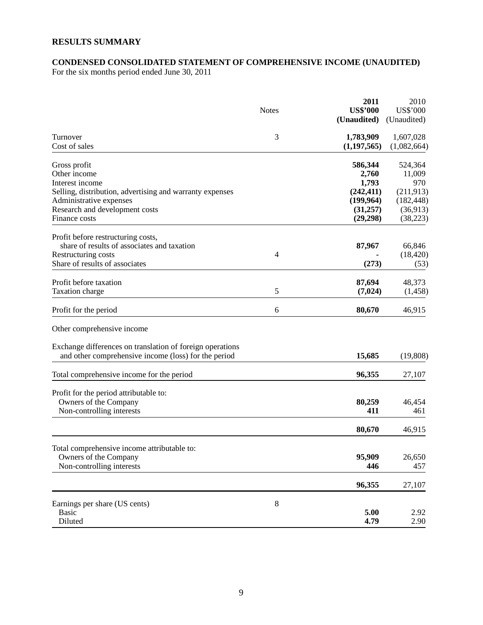## **RESULTS SUMMARY**

#### **CONDENSED CONSOLIDATED STATEMENT OF COMPREHENSIVE INCOME (UNAUDITED)**

For the six months period ended June 30, 2011

|                                                                                                                                                                                              | <b>Notes</b> | 2011<br><b>US\$'000</b><br>(Unaudited)                            | 2010<br>US\$'000<br>(Unaudited)                                  |
|----------------------------------------------------------------------------------------------------------------------------------------------------------------------------------------------|--------------|-------------------------------------------------------------------|------------------------------------------------------------------|
| Turnover<br>Cost of sales                                                                                                                                                                    | 3            | 1,783,909<br>(1, 197, 565)                                        | 1,607,028<br>(1,082,664)                                         |
| Gross profit<br>Other income<br>Interest income<br>Selling, distribution, advertising and warranty expenses<br>Administrative expenses<br>Research and development costs                     |              | 586,344<br>2,760<br>1,793<br>(242, 411)<br>(199, 964)<br>(31,257) | 524,364<br>11,009<br>970<br>(211, 913)<br>(182, 448)<br>(36,913) |
| Finance costs<br>Profit before restructuring costs,<br>share of results of associates and taxation<br>Restructuring costs<br>Share of results of associates                                  | 4            | (29, 298)<br>87,967<br>(273)                                      | (38, 223)<br>66,846<br>(18, 420)<br>(53)                         |
| Profit before taxation<br>Taxation charge                                                                                                                                                    | 5            | 87,694<br>(7, 024)                                                | 48,373<br>(1,458)                                                |
| Profit for the period                                                                                                                                                                        | 6            | 80,670                                                            | 46,915                                                           |
| Other comprehensive income<br>Exchange differences on translation of foreign operations<br>and other comprehensive income (loss) for the period<br>Total comprehensive income for the period |              | 15,685<br>96,355                                                  | (19, 808)<br>27,107                                              |
| Profit for the period attributable to:<br>Owners of the Company<br>Non-controlling interests                                                                                                 |              | 80,259<br>411<br>80,670                                           | 46,454<br>461                                                    |
| Total comprehensive income attributable to:<br>Owners of the Company<br>Non-controlling interests                                                                                            |              | 95,909<br>446                                                     | 46,915<br>26,650<br>457                                          |
| Earnings per share (US cents)<br><b>Basic</b><br>Diluted                                                                                                                                     | 8            | 96,355<br>5.00<br>4.79                                            | 27,107<br>2.92<br>2.90                                           |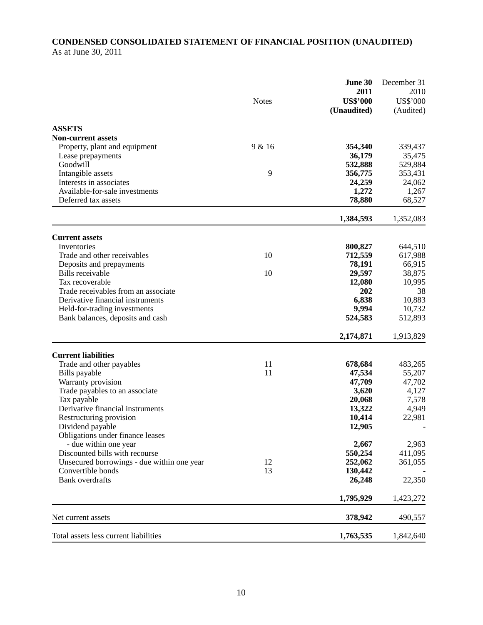### **CONDENSED CONSOLIDATED STATEMENT OF FINANCIAL POSITION (UNAUDITED)**  As at June 30, 2011

|                                                           | <b>Notes</b> | June 30<br>2011<br><b>US\$'000</b> | December 31<br>2010<br>US\$'000 |
|-----------------------------------------------------------|--------------|------------------------------------|---------------------------------|
|                                                           |              | (Unaudited)                        | (Audited)                       |
| <b>ASSETS</b>                                             |              |                                    |                                 |
| <b>Non-current assets</b>                                 |              |                                    |                                 |
| Property, plant and equipment                             | 9 & 16       | 354,340                            | 339,437                         |
| Lease prepayments                                         |              | 36,179                             | 35,475                          |
| Goodwill                                                  |              | 532,888                            | 529,884                         |
| Intangible assets                                         | 9            | 356,775                            | 353,431                         |
| Interests in associates                                   |              | 24,259                             | 24,062                          |
| Available-for-sale investments                            |              | 1,272                              | 1,267                           |
| Deferred tax assets                                       |              | 78,880                             | 68,527                          |
|                                                           |              | 1,384,593                          | 1,352,083                       |
| <b>Current assets</b>                                     |              |                                    |                                 |
| Inventories                                               |              | 800,827                            | 644,510                         |
| Trade and other receivables                               | 10           | 712,559                            | 617,988                         |
| Deposits and prepayments                                  |              | 78,191                             | 66,915                          |
| Bills receivable                                          | 10           | 29,597                             | 38,875                          |
| Tax recoverable                                           |              | 12,080                             | 10,995                          |
| Trade receivables from an associate                       |              | 202                                | 38                              |
| Derivative financial instruments                          |              | 6,838                              | 10,883                          |
| Held-for-trading investments                              |              | 9,994                              | 10,732                          |
| Bank balances, deposits and cash                          |              | 524,583                            | 512,893                         |
|                                                           |              | 2,174,871                          | 1,913,829                       |
| <b>Current liabilities</b>                                |              |                                    |                                 |
| Trade and other payables                                  | 11           | 678,684                            | 483,265                         |
| Bills payable                                             | 11           | 47,534                             | 55,207                          |
| Warranty provision                                        |              | 47,709                             | 47,702                          |
| Trade payables to an associate                            |              | 3,620                              | 4,127                           |
| Tax payable                                               |              | 20,068                             | 7,578                           |
| Derivative financial instruments                          |              | 13,322                             | 4,949                           |
| Restructuring provision                                   |              | 10,414                             | 22,981                          |
| Dividend payable                                          |              | 12,905                             |                                 |
| Obligations under finance leases<br>- due within one year |              | 2,667                              | 2,963                           |
| Discounted bills with recourse                            |              | 550,254                            | 411,095                         |
| Unsecured borrowings - due within one year                | 12           | 252,062                            | 361,055                         |
| Convertible bonds                                         | 13           | 130,442                            |                                 |
| <b>Bank</b> overdrafts                                    |              | 26,248                             | 22,350                          |
|                                                           |              | 1,795,929                          | 1,423,272                       |
| Net current assets                                        |              | 378,942                            | 490,557                         |
| Total assets less current liabilities                     |              | 1,763,535                          | 1,842,640                       |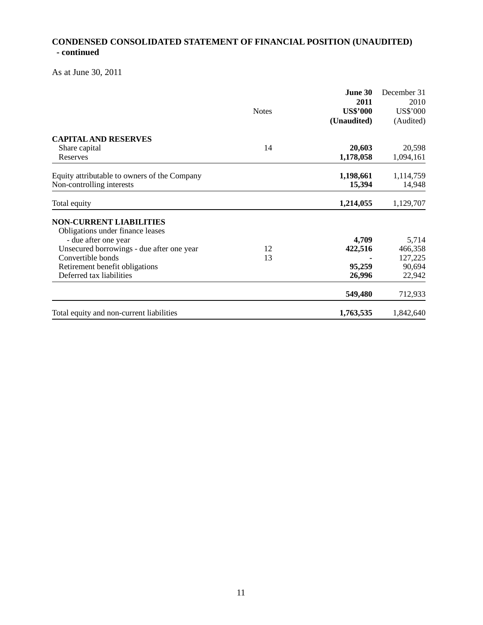## **CONDENSED CONSOLIDATED STATEMENT OF FINANCIAL POSITION (UNAUDITED) - continued**

As at June 30, 2011

|                                              |              | June 30         | December 31 |
|----------------------------------------------|--------------|-----------------|-------------|
|                                              |              | 2011            | 2010        |
|                                              | <b>Notes</b> | <b>US\$'000</b> | US\$'000    |
|                                              |              | (Unaudited)     | (Audited)   |
| <b>CAPITAL AND RESERVES</b>                  |              |                 |             |
| Share capital                                | 14           | 20,603          | 20,598      |
| Reserves                                     |              | 1,178,058       | 1,094,161   |
| Equity attributable to owners of the Company |              | 1,198,661       | 1,114,759   |
| Non-controlling interests                    |              | 15,394          | 14,948      |
| Total equity                                 |              | 1,214,055       | 1,129,707   |
| <b>NON-CURRENT LIABILITIES</b>               |              |                 |             |
| Obligations under finance leases             |              |                 |             |
| - due after one year                         |              | 4,709           | 5,714       |
| Unsecured borrowings - due after one year    | 12           | 422,516         | 466,358     |
| Convertible bonds                            | 13           |                 | 127,225     |
| Retirement benefit obligations               |              | 95,259          | 90,694      |
| Deferred tax liabilities                     |              | 26,996          | 22,942      |
|                                              |              | 549,480         | 712,933     |
| Total equity and non-current liabilities     |              | 1,763,535       | 1,842,640   |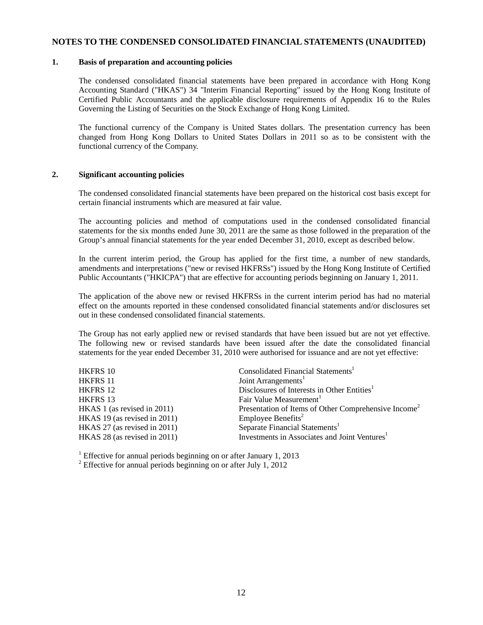#### **NOTES TO THE CONDENSED CONSOLIDATED FINANCIAL STATEMENTS (UNAUDITED)**

#### **1. Basis of preparation and accounting policies**

The condensed consolidated financial statements have been prepared in accordance with Hong Kong Accounting Standard ("HKAS") 34 "Interim Financial Reporting" issued by the Hong Kong Institute of Certified Public Accountants and the applicable disclosure requirements of Appendix 16 to the Rules Governing the Listing of Securities on the Stock Exchange of Hong Kong Limited.

The functional currency of the Company is United States dollars. The presentation currency has been changed from Hong Kong Dollars to United States Dollars in 2011 so as to be consistent with the functional currency of the Company.

#### **2. Significant accounting policies**

The condensed consolidated financial statements have been prepared on the historical cost basis except for certain financial instruments which are measured at fair value.

The accounting policies and method of computations used in the condensed consolidated financial statements for the six months ended June 30, 2011 are the same as those followed in the preparation of the Group's annual financial statements for the year ended December 31, 2010, except as described below.

In the current interim period, the Group has applied for the first time, a number of new standards, amendments and interpretations ("new or revised HKFRSs") issued by the Hong Kong Institute of Certified Public Accountants ("HKICPA") that are effective for accounting periods beginning on January 1, 2011.

The application of the above new or revised HKFRSs in the current interim period has had no material effect on the amounts reported in these condensed consolidated financial statements and/or disclosures set out in these condensed consolidated financial statements.

The Group has not early applied new or revised standards that have been issued but are not yet effective. The following new or revised standards have been issued after the date the consolidated financial statements for the year ended December 31, 2010 were authorised for issuance and are not yet effective:

| <b>HKFRS 10</b>              | Consolidated Financial Statements <sup>1</sup>                   |
|------------------------------|------------------------------------------------------------------|
| <b>HKFRS 11</b>              | Joint Arrangements <sup>1</sup>                                  |
| <b>HKFRS 12</b>              | Disclosures of Interests in Other Entities <sup>1</sup>          |
| <b>HKFRS 13</b>              | Fair Value Measurement                                           |
| HKAS 1 (as revised in 2011)  | Presentation of Items of Other Comprehensive Income <sup>2</sup> |
| HKAS 19 (as revised in 2011) | Employee Benefits <sup>2</sup>                                   |
| HKAS 27 (as revised in 2011) | Separate Financial Statements <sup>1</sup>                       |
| HKAS 28 (as revised in 2011) | Investments in Associates and Joint Ventures <sup>1</sup>        |
|                              |                                                                  |

<sup>1</sup> Effective for annual periods beginning on or after January 1, 2013 <sup>2</sup> Effective for annual periods beginning on or after July 1, 2012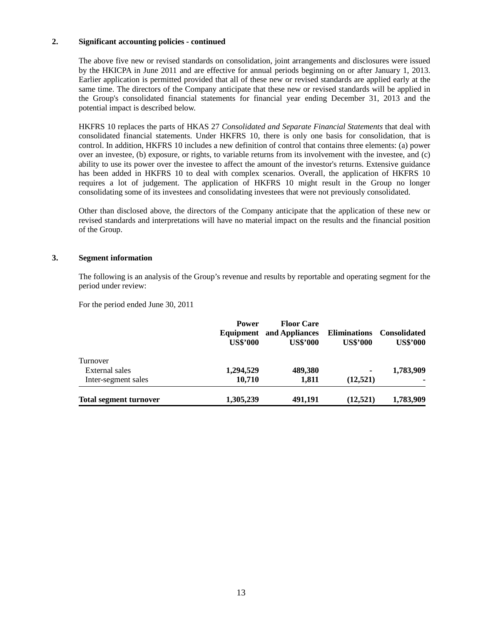#### **2. Significant accounting policies - continued**

The above five new or revised standards on consolidation, joint arrangements and disclosures were issued by the HKICPA in June 2011 and are effective for annual periods beginning on or after January 1, 2013. Earlier application is permitted provided that all of these new or revised standards are applied early at the same time. The directors of the Company anticipate that these new or revised standards will be applied in the Group's consolidated financial statements for financial year ending December 31, 2013 and the potential impact is described below.

HKFRS 10 replaces the parts of HKAS 27 *Consolidated and Separate Financial Statements* that deal with consolidated financial statements. Under HKFRS 10, there is only one basis for consolidation, that is control. In addition, HKFRS 10 includes a new definition of control that contains three elements: (a) power over an investee, (b) exposure, or rights, to variable returns from its involvement with the investee, and (c) ability to use its power over the investee to affect the amount of the investor's returns. Extensive guidance has been added in HKFRS 10 to deal with complex scenarios. Overall, the application of HKFRS 10 requires a lot of judgement. The application of HKFRS 10 might result in the Group no longer consolidating some of its investees and consolidating investees that were not previously consolidated.

Other than disclosed above, the directors of the Company anticipate that the application of these new or revised standards and interpretations will have no material impact on the results and the financial position of the Group.

#### **3. Segment information**

The following is an analysis of the Group's revenue and results by reportable and operating segment for the period under review:

For the period ended June 30, 2011

|                               | <b>Power</b><br>Equipment<br><b>US\$'000</b> | <b>Floor Care</b><br>and Appliances<br><b>US\$'000</b> | <b>Eliminations</b><br><b>US\$'000</b> | <b>Consolidated</b><br><b>US\$'000</b> |
|-------------------------------|----------------------------------------------|--------------------------------------------------------|----------------------------------------|----------------------------------------|
| Turnover                      |                                              |                                                        |                                        |                                        |
| External sales                | 1,294,529                                    | 489,380                                                | $\blacksquare$                         | 1,783,909                              |
| Inter-segment sales           | 10,710                                       | 1,811                                                  | (12,521)                               |                                        |
| <b>Total segment turnover</b> | 1,305,239                                    | 491,191                                                | (12, 521)                              | 1,783,909                              |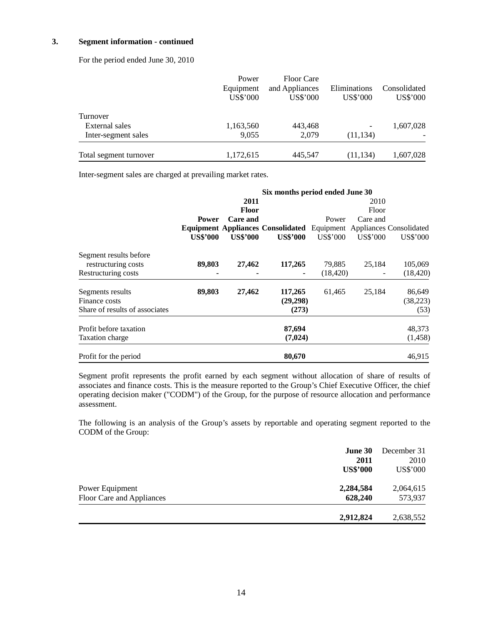#### **3. Segment information - continued**

For the period ended June 30, 2010

|                        | Power     | <b>Floor Care</b> |              |              |
|------------------------|-----------|-------------------|--------------|--------------|
|                        | Equipment | and Appliances    | Eliminations | Consolidated |
|                        | US\$'000  | US\$'000          | US\$'000     | US\$'000     |
| Turnover               |           |                   |              |              |
| External sales         | 1,163,560 | 443,468           |              | 1,607,028    |
| Inter-segment sales    | 9.055     | 2.079             | (11, 134)    |              |
| Total segment turnover | 1,172,615 | 445,547           | (11, 134)    | 1,607,028    |

Inter-segment sales are charged at prevailing market rates.

|                                |                 |                 | Six months period ended June 30          |           |          |                                   |
|--------------------------------|-----------------|-----------------|------------------------------------------|-----------|----------|-----------------------------------|
|                                |                 | 2011            |                                          |           | 2010     |                                   |
|                                |                 | <b>Floor</b>    |                                          |           | Floor    |                                   |
|                                | <b>Power</b>    | Care and        |                                          | Power     | Care and |                                   |
|                                |                 |                 | <b>Equipment Appliances Consolidated</b> |           |          | Equipment Appliances Consolidated |
|                                | <b>US\$'000</b> | <b>US\$'000</b> | <b>US\$'000</b>                          | US\$'000  | US\$'000 | US\$'000                          |
| Segment results before         |                 |                 |                                          |           |          |                                   |
| restructuring costs            | 89,803          | 27,462          | 117,265                                  | 79,885    | 25,184   | 105,069                           |
| Restructuring costs            |                 |                 |                                          | (18, 420) |          | (18, 420)                         |
| Segments results               | 89,803          | 27,462          | 117,265                                  | 61,465    | 25,184   | 86,649                            |
| Finance costs                  |                 |                 | (29,298)                                 |           |          | (38, 223)                         |
| Share of results of associates |                 |                 | (273)                                    |           |          | (53)                              |
| Profit before taxation         |                 |                 | 87,694                                   |           |          | 48,373                            |
| Taxation charge                |                 |                 | (7,024)                                  |           |          | (1,458)                           |
| Profit for the period          |                 |                 | 80,670                                   |           |          | 46,915                            |

Segment profit represents the profit earned by each segment without allocation of share of results of associates and finance costs. This is the measure reported to the Group's Chief Executive Officer, the chief operating decision maker ("CODM") of the Group, for the purpose of resource allocation and performance assessment.

The following is an analysis of the Group's assets by reportable and operating segment reported to the CODM of the Group:

| <b>June 30</b><br>2011<br><b>US\$'000</b>                            | December 31<br>2010<br><b>US\$'000</b> |
|----------------------------------------------------------------------|----------------------------------------|
| 2,284,584<br>Power Equipment<br>628,240<br>Floor Care and Appliances | 2,064,615<br>573,937                   |
| 2,912,824                                                            | 2,638,552                              |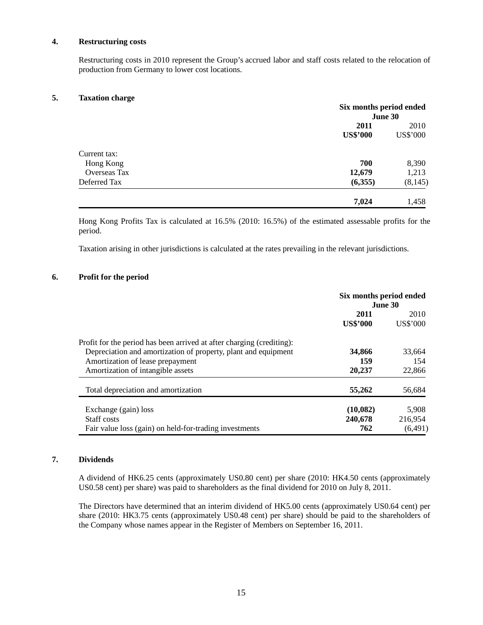#### **4. Restructuring costs**

Restructuring costs in 2010 represent the Group's accrued labor and staff costs related to the relocation of production from Germany to lower cost locations.

#### **5. Taxation charge**

|                     | Six months period ended |          |
|---------------------|-------------------------|----------|
|                     | June 30                 |          |
|                     | 2011                    | 2010     |
|                     | <b>US\$'000</b>         | US\$'000 |
| Current tax:        |                         |          |
| Hong Kong           | 700                     | 8,390    |
| <b>Overseas Tax</b> | 12,679                  | 1,213    |
| Deferred Tax        | (6,355)                 | (8, 145) |
|                     | 7,024                   | 1,458    |

Hong Kong Profits Tax is calculated at 16.5% (2010: 16.5%) of the estimated assessable profits for the period.

Taxation arising in other jurisdictions is calculated at the rates prevailing in the relevant jurisdictions.

#### **6. Profit for the period**

|                                                                       | Six months period ended<br><b>June 30</b> |                 |  |
|-----------------------------------------------------------------------|-------------------------------------------|-----------------|--|
|                                                                       | 2011                                      | 2010            |  |
|                                                                       | <b>US\$'000</b>                           | <b>US\$'000</b> |  |
| Profit for the period has been arrived at after charging (crediting): |                                           |                 |  |
| Depreciation and amortization of property, plant and equipment        | 34,866                                    | 33,664          |  |
| Amortization of lease prepayment                                      | 159                                       | 154             |  |
| Amortization of intangible assets                                     | 20,237                                    | 22,866          |  |
| Total depreciation and amortization                                   | 55,262                                    | 56,684          |  |
| Exchange (gain) loss                                                  | (10,082)                                  | 5,908           |  |
| Staff costs                                                           | 240,678                                   | 216.954         |  |
| Fair value loss (gain) on held-for-trading investments                | 762                                       | (6,491)         |  |

#### **7. Dividends**

A dividend of HK6.25 cents (approximately US0.80 cent) per share (2010: HK4.50 cents (approximately US0.58 cent) per share) was paid to shareholders as the final dividend for 2010 on July 8, 2011.

The Directors have determined that an interim dividend of HK5.00 cents (approximately US0.64 cent) per share (2010: HK3.75 cents (approximately US0.48 cent) per share) should be paid to the shareholders of the Company whose names appear in the Register of Members on September 16, 2011.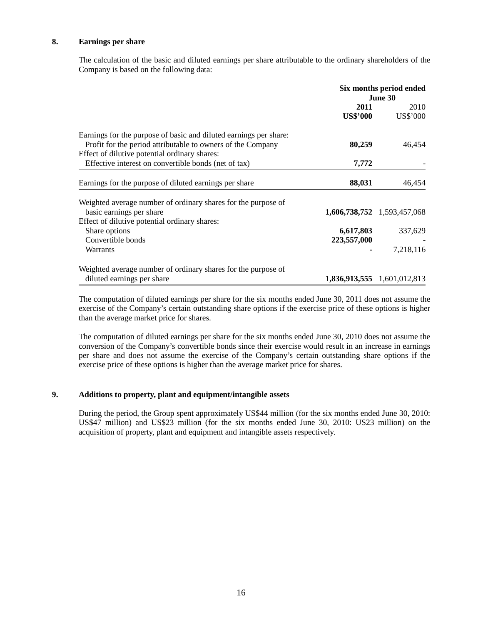#### **8. Earnings per share**

The calculation of the basic and diluted earnings per share attributable to the ordinary shareholders of the Company is based on the following data:

|                                                                                                                                  | Six months period ended<br>June 30 |                             |
|----------------------------------------------------------------------------------------------------------------------------------|------------------------------------|-----------------------------|
|                                                                                                                                  | 2011<br><b>US\$'000</b>            | 2010<br>US\$'000            |
| Earnings for the purpose of basic and diluted earnings per share:<br>Profit for the period attributable to owners of the Company | 80,259                             | 46,454                      |
| Effect of dilutive potential ordinary shares:<br>Effective interest on convertible bonds (net of tax)                            | 7,772                              |                             |
| Earnings for the purpose of diluted earnings per share                                                                           | 88,031                             | 46,454                      |
| Weighted average number of ordinary shares for the purpose of                                                                    |                                    |                             |
| basic earnings per share                                                                                                         |                                    | 1,606,738,752 1,593,457,068 |
| Effect of dilutive potential ordinary shares:                                                                                    |                                    |                             |
| Share options                                                                                                                    | 6,617,803                          | 337,629                     |
| Convertible bonds                                                                                                                | 223,557,000                        |                             |
| Warrants                                                                                                                         |                                    | 7,218,116                   |
| Weighted average number of ordinary shares for the purpose of                                                                    |                                    |                             |
| diluted earnings per share                                                                                                       |                                    | 1,836,913,555 1,601,012,813 |

The computation of diluted earnings per share for the six months ended June 30, 2011 does not assume the exercise of the Company's certain outstanding share options if the exercise price of these options is higher than the average market price for shares.

The computation of diluted earnings per share for the six months ended June 30, 2010 does not assume the conversion of the Company's convertible bonds since their exercise would result in an increase in earnings per share and does not assume the exercise of the Company's certain outstanding share options if the exercise price of these options is higher than the average market price for shares.

#### **9. Additions to property, plant and equipment/intangible assets**

During the period, the Group spent approximately US\$44 million (for the six months ended June 30, 2010: US\$47 million) and US\$23 million (for the six months ended June 30, 2010: US23 million) on the acquisition of property, plant and equipment and intangible assets respectively.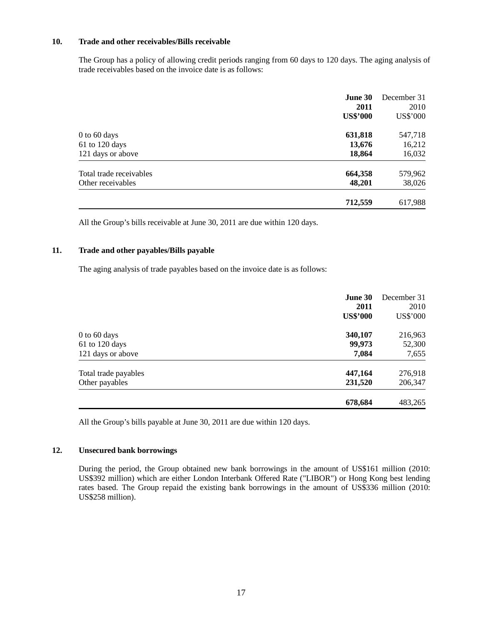#### **10. Trade and other receivables/Bills receivable**

The Group has a policy of allowing credit periods ranging from 60 days to 120 days. The aging analysis of trade receivables based on the invoice date is as follows:

|                         | June 30<br>2011<br><b>US\$'000</b> | December 31<br>2010<br>US\$'000 |
|-------------------------|------------------------------------|---------------------------------|
| 0 to 60 days            | 631,818                            | 547,718                         |
| 61 to 120 days          | 13,676                             | 16,212                          |
| 121 days or above       | 18,864                             | 16,032                          |
| Total trade receivables | 664,358                            | 579,962                         |
| Other receivables       | 48,201                             | 38,026                          |
|                         | 712,559                            | 617,988                         |

All the Group's bills receivable at June 30, 2011 are due within 120 days.

#### **11. Trade and other payables/Bills payable**

The aging analysis of trade payables based on the invoice date is as follows:

|                      | <b>June 30</b><br>2011<br><b>US\$'000</b> | December 31<br>2010<br>US\$'000 |
|----------------------|-------------------------------------------|---------------------------------|
| $0$ to 60 days       | 340,107                                   | 216,963                         |
| 61 to 120 days       | 99,973                                    | 52,300                          |
| 121 days or above    | 7,084                                     | 7,655                           |
| Total trade payables | 447,164                                   | 276,918                         |
| Other payables       | 231,520                                   | 206,347                         |
|                      | 678,684                                   | 483,265                         |

All the Group's bills payable at June 30, 2011 are due within 120 days.

#### **12. Unsecured bank borrowings**

During the period, the Group obtained new bank borrowings in the amount of US\$161 million (2010: US\$392 million) which are either London Interbank Offered Rate ("LIBOR") or Hong Kong best lending rates based. The Group repaid the existing bank borrowings in the amount of US\$336 million (2010: US\$258 million).